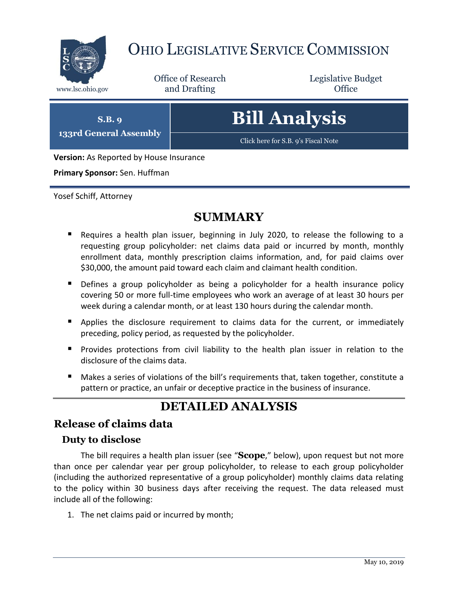

# OHIO LEGISLATIVE SERVICE COMMISSION

Office of Research www.lsc.ohio.gov and Drafting Control of Control of the Control of Control of the Control of Control of the Control of the Control of the Control of the Control of the Control of the Control of the Control of the Control o

Legislative Budget

**S.B. 9 133rd General Assembly** **Bill Analysis** [Click here for S.B. 9's Fiscal Note](https://www.legislature.ohio.gov/legislation/legislation-documents?id=GA133-SB-9)

**Version:** As Reported by House Insurance

**Primary Sponsor:** Sen. Huffman

Yosef Schiff, Attorney

# **SUMMARY**

- Requires a health plan issuer, beginning in July 2020, to release the following to a requesting group policyholder: net claims data paid or incurred by month, monthly enrollment data, monthly prescription claims information, and, for paid claims over \$30,000, the amount paid toward each claim and claimant health condition.
- **Defines a group policyholder as being a policyholder for a health insurance policy** covering 50 or more full-time employees who work an average of at least 30 hours per week during a calendar month, or at least 130 hours during the calendar month.
- Applies the disclosure requirement to claims data for the current, or immediately preceding, policy period, as requested by the policyholder.
- **Provides protections from civil liability to the health plan issuer in relation to the** disclosure of the claims data.
- Makes a series of violations of the bill's requirements that, taken together, constitute a pattern or practice, an unfair or deceptive practice in the business of insurance.

# **DETAILED ANALYSIS**

# **Release of claims data**

#### **Duty to disclose**

The bill requires a health plan issuer (see "**Scope**," below), upon request but not more than once per calendar year per group policyholder, to release to each group policyholder (including the authorized representative of a group policyholder) monthly claims data relating to the policy within 30 business days after receiving the request. The data released must include all of the following:

1. The net claims paid or incurred by month;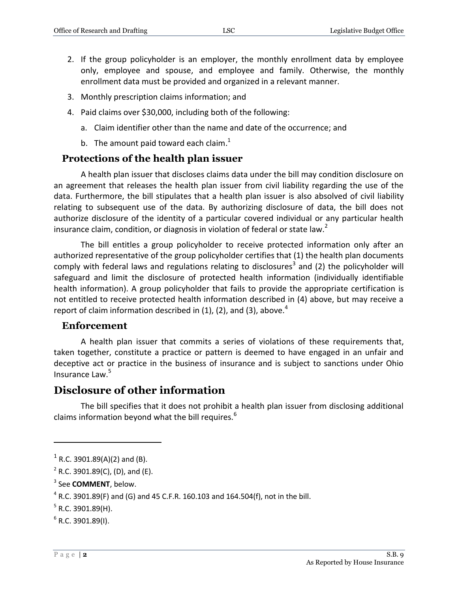- 2. If the group policyholder is an employer, the monthly enrollment data by employee only, employee and spouse, and employee and family. Otherwise, the monthly enrollment data must be provided and organized in a relevant manner.
- 3. Monthly prescription claims information; and
- 4. Paid claims over \$30,000, including both of the following:
	- a. Claim identifier other than the name and date of the occurrence; and
	- b. The amount paid toward each claim.<sup>1</sup>

### **Protections of the health plan issuer**

A health plan issuer that discloses claims data under the bill may condition disclosure on an agreement that releases the health plan issuer from civil liability regarding the use of the data. Furthermore, the bill stipulates that a health plan issuer is also absolved of civil liability relating to subsequent use of the data. By authorizing disclosure of data, the bill does not authorize disclosure of the identity of a particular covered individual or any particular health insurance claim, condition, or diagnosis in violation of federal or state law.<sup>2</sup>

The bill entitles a group policyholder to receive protected information only after an authorized representative of the group policyholder certifies that (1) the health plan documents comply with federal laws and regulations relating to disclosures<sup>3</sup> and (2) the policyholder will safeguard and limit the disclosure of protected health information (individually identifiable health information). A group policyholder that fails to provide the appropriate certification is not entitled to receive protected health information described in (4) above, but may receive a report of claim information described in  $(1)$ ,  $(2)$ , and  $(3)$ , above.<sup>4</sup>

#### **Enforcement**

A health plan issuer that commits a series of violations of these requirements that, taken together, constitute a practice or pattern is deemed to have engaged in an unfair and deceptive act or practice in the business of insurance and is subject to sanctions under Ohio Insurance Law.<sup>5</sup>

## **Disclosure of other information**

The bill specifies that it does not prohibit a health plan issuer from disclosing additional claims information beyond what the bill requires.<sup>6</sup>

 $\overline{a}$ 

 $1$  R.C. 3901.89(A)(2) and (B).

 $2^2$  R.C. 3901.89(C), (D), and (E).

<sup>3</sup> See **COMMENT**, below.

 $^4$  R.C. 3901.89(F) and (G) and 45 C.F.R. 160.103 and 164.504(f), not in the bill.

 $5$  R.C. 3901.89(H).

 $6$  R.C. 3901.89(I).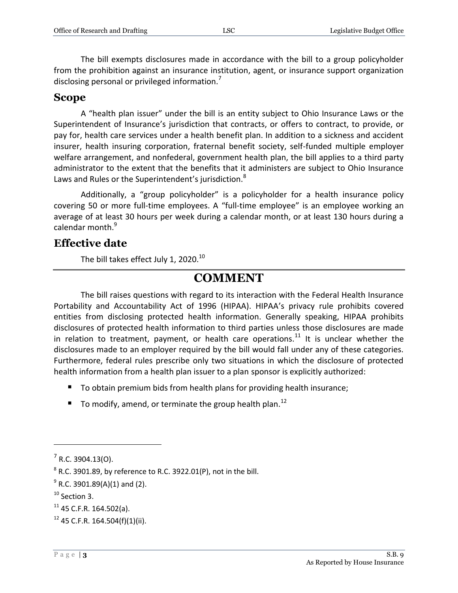The bill exempts disclosures made in accordance with the bill to a group policyholder from the prohibition against an insurance institution, agent, or insurance support organization disclosing personal or privileged information.<sup>7</sup>

### **Scope**

A "health plan issuer" under the bill is an entity subject to Ohio Insurance Laws or the Superintendent of Insurance's jurisdiction that contracts, or offers to contract, to provide, or pay for, health care services under a health benefit plan. In addition to a sickness and accident insurer, health insuring corporation, fraternal benefit society, self-funded multiple employer welfare arrangement, and nonfederal, government health plan, the bill applies to a third party administrator to the extent that the benefits that it administers are subject to Ohio Insurance Laws and Rules or the Superintendent's jurisdiction.<sup>8</sup>

Additionally, a "group policyholder" is a policyholder for a health insurance policy covering 50 or more full-time employees. A "full-time employee" is an employee working an average of at least 30 hours per week during a calendar month, or at least 130 hours during a calendar month.<sup>9</sup>

## **Effective date**

The bill takes effect July 1, 2020. $^{10}$ 

# **COMMENT**

The bill raises questions with regard to its interaction with the Federal Health Insurance Portability and Accountability Act of 1996 (HIPAA). HIPAA's privacy rule prohibits covered entities from disclosing protected health information. Generally speaking, HIPAA prohibits disclosures of protected health information to third parties unless those disclosures are made in relation to treatment, payment, or health care operations.<sup>11</sup> It is unclear whether the disclosures made to an employer required by the bill would fall under any of these categories. Furthermore, federal rules prescribe only two situations in which the disclosure of protected health information from a health plan issuer to a plan sponsor is explicitly authorized:

- To obtain premium bids from health plans for providing health insurance;
- $\blacksquare$  To modify, amend, or terminate the group health plan.<sup>12</sup>

 $\overline{a}$ 

 $7$  R.C. 3904.13(O).

 $^8$  R.C. 3901.89, by reference to R.C. 3922.01(P), not in the bill.

 $^9$  R.C. 3901.89(A)(1) and (2).

<sup>&</sup>lt;sup>10</sup> Section 3.

 $11$  45 C.F.R. 164.502(a).

 $12$  45 C.F.R. 164.504(f)(1)(ii).